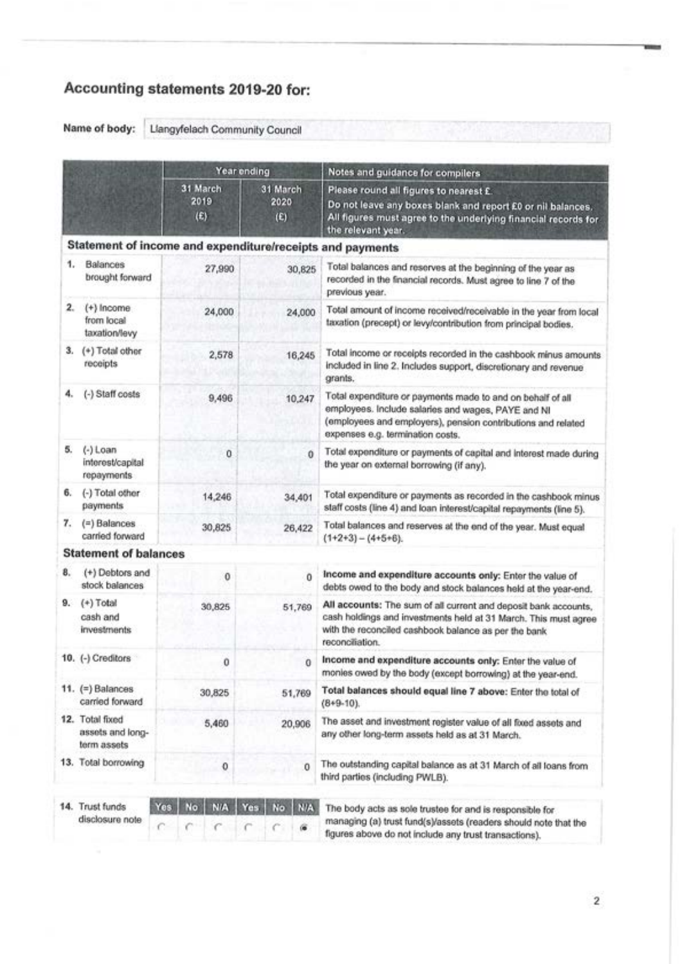# Accounting statements 2019-20 for:

Name of body: Liangyfelach Community Council

|    |                                                    | Year ending                                               |                         | Notes and guidance for compilers                                                                                                                                                                                     |  |  |  |  |
|----|----------------------------------------------------|-----------------------------------------------------------|-------------------------|----------------------------------------------------------------------------------------------------------------------------------------------------------------------------------------------------------------------|--|--|--|--|
|    |                                                    | 31 March<br>2019<br>(E)                                   | 31 March<br>2020<br>(E) | Please round all figures to nearest £.<br>Do not leave any boxes blank and report £0 or nil balances.<br>All figures must agree to the underlying financial records for<br>the relevant year.                        |  |  |  |  |
|    |                                                    | Statement of income and expenditure/receipts and payments |                         |                                                                                                                                                                                                                      |  |  |  |  |
|    | 1. Balances<br>brought forward                     | 27,990                                                    | 30,825                  | Total balances and reserves at the beginning of the year as<br>recorded in the financial records. Must agree to line 7 of the<br>previous year.                                                                      |  |  |  |  |
| 2. | $(+)$ Income<br>from local<br>taxation/levy        | 24,000                                                    | 24,000                  | Total amount of income received/receivable in the year from local<br>taxation (precept) or levy/contribution from principal bodies.                                                                                  |  |  |  |  |
|    | 3. (+) Total other<br>receipts                     | 2,578                                                     | 16,245                  | Total income or receipts recorded in the cashbook minus amounts<br>included in line 2. Includes support, discretionary and revenue<br>grants.                                                                        |  |  |  |  |
| 4. | (-) Staff costs                                    | 9,496                                                     | 10,247                  | Total expenditure or payments made to and on behalf of all<br>employees. Include salaries and wages, PAYE and NI<br>(employees and employers), pension contributions and related<br>expenses e.g. termination costs. |  |  |  |  |
| 5. | $(-)$ Loan<br>interest/capital<br>repayments       | 0                                                         | 0                       | Total expenditure or payments of capital and interest made during<br>the year on external borrowing (if any).                                                                                                        |  |  |  |  |
| 6. | (-) Total other<br>payments                        | 14,246                                                    | 34,401                  | Total expenditure or payments as recorded in the cashbook minus<br>staff costs (line 4) and loan interest/capital repayments (line 5).                                                                               |  |  |  |  |
| 7. | $(=)$ Balances<br>carried forward                  | 30,825                                                    | 26,422                  | Total balances and reserves at the end of the year. Must equal<br>$(1+2+3) - (4+5+6)$ .                                                                                                                              |  |  |  |  |
|    | <b>Statement of balances</b>                       |                                                           |                         |                                                                                                                                                                                                                      |  |  |  |  |
| 8. | (+) Debtors and<br>stock balances                  | $\ddot{\mathbf{0}}$                                       | o                       | Income and expenditure accounts only: Enter the value of<br>debts owed to the body and stock balances held at the year-end.                                                                                          |  |  |  |  |
| 9. | $(+)$ Total<br>cash and<br><i>investments</i>      | 30,825                                                    | 51,769                  | All accounts: The sum of all current and deposit bank accounts,<br>cash holdings and investments held at 31 March. This must agree<br>with the reconciled cashbook balance as per the bank<br>reconciliation.        |  |  |  |  |
|    | 10. (-) Creditors                                  | Ũ                                                         | 0                       | Income and expenditure accounts only: Enter the value of<br>monies owed by the body (except borrowing) at the year-end.                                                                                              |  |  |  |  |
|    | 11. (=) Balances<br>carried forward                | 30,825                                                    | 51,769                  | Total balances should equal line 7 above: Enter the total of<br>$(8+9-10)$ .                                                                                                                                         |  |  |  |  |
|    | 12. Total fixed<br>assets and long-<br>term assets | 5,460                                                     | 20,906                  | The asset and investment register value of all fixed assets and<br>any other long-term assets held as at 31 March.                                                                                                   |  |  |  |  |
|    | 13. Total borrowing                                | 0                                                         | 0                       | The outstanding capital balance as at 31 March of all loans from<br>third parties (including PWLB).                                                                                                                  |  |  |  |  |
|    | 14. Trust funds<br>disclosure note                 | Yes<br>No<br><b>N/A</b><br>c                              | N/A<br>Yes<br>No<br>œ   | The body acts as sole trustee for and is responsible for<br>managing (a) trust fund(s)/assets (readers should note that the<br>figures above do not include any trust transactions).                                 |  |  |  |  |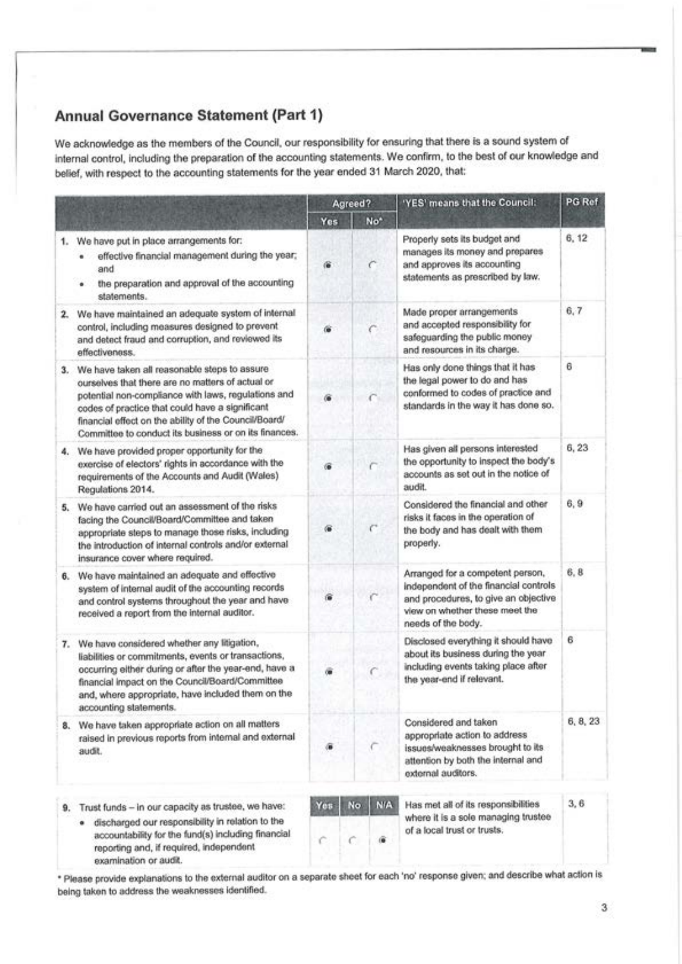## Annual Governance Statement (Part 1)

We acknowledge as the members of the Council, our responsibility for ensuring that there is a sound system of internal control, including the preparation of the accounting statements. We confirm, to the best of our knowledge and belief, with respect to the accounting statements for the year ended 31 March 2020, that:

|    |                                                                                                                                                                                                                                                                                                                              | Agreed?  |          |                 | 'YES' means that the Council:                                                                                                                                             | PG Ref   |
|----|------------------------------------------------------------------------------------------------------------------------------------------------------------------------------------------------------------------------------------------------------------------------------------------------------------------------------|----------|----------|-----------------|---------------------------------------------------------------------------------------------------------------------------------------------------------------------------|----------|
|    |                                                                                                                                                                                                                                                                                                                              | Yes      |          | No <sup>*</sup> |                                                                                                                                                                           |          |
|    | 1. We have put in place arrangements for:<br>effective financial management during the year;<br>and<br>the preparation and approval of the accounting<br>statements.                                                                                                                                                         | 儋        |          | c               | Properly sets its budget and<br>manages its money and prepares<br>and approves its accounting<br>statements as prescribed by law.                                         | 6, 12    |
| 2. | We have maintained an adequate system of internal<br>control, including measures designed to prevent<br>and detect fraud and corruption, and reviewed its<br>effectiveness.                                                                                                                                                  |          |          |                 | Made proper arrangements<br>and accepted responsibility for<br>safeguarding the public money<br>and resources in its charge.                                              | 6, 7     |
| 3. | We have taken all reasonable steps to assure<br>ourselves that there are no matters of actual or<br>potential non-compliance with laws, regulations and<br>codes of practice that could have a significant<br>financial effect on the ability of the Council/Board/<br>Committee to conduct its business or on its finances. |          |          |                 | Has only done things that it has<br>the legal power to do and has<br>conformed to codes of practice and<br>standards in the way it has done so.                           | 6        |
| 4. | We have provided proper opportunity for the<br>exercise of electors' rights in accordance with the<br>requirements of the Accounts and Audit (Wales)<br>Regulations 2014.                                                                                                                                                    |          |          |                 | Has given all persons interested<br>the opportunity to inspect the body's<br>accounts as set out in the notice of<br>audit.                                               | 6, 23    |
| 5. | We have carried out an assessment of the risks<br>facing the Council/Board/Committee and taken<br>appropriate steps to manage those risks, including<br>the introduction of internal controls and/or external<br>insurance cover where required.                                                                             | 僱        |          |                 | Considered the financial and other<br>risks it faces in the operation of<br>the body and has dealt with them<br>properly.                                                 | 6,9      |
| 6. | We have maintained an adequate and effective<br>system of internal audit of the accounting records<br>and control systems throughout the year and have<br>received a report from the internal auditor.                                                                                                                       | 倫        |          |                 | Arranged for a competent person,<br>independent of the financial controls<br>and procedures, to give an objective<br>view on whether these meet the<br>needs of the body. | 6, 8     |
| 7. | We have considered whether any litigation,<br>liabilities or commitments, events or transactions,<br>occurring either during or after the year-end, have a<br>financial impact on the Council/Board/Committee<br>and, where appropriate, have included them on the<br>accounting statements.                                 |          |          |                 | Disclosed everything it should have<br>about its business during the year<br>including events taking place after<br>the year-end if relevant.                             | 6        |
|    | 8. We have taken appropriate action on all matters<br>raised in previous reports from internal and external<br>audit.                                                                                                                                                                                                        |          |          |                 | Considered and taken<br>appropriate action to address<br>issues/weaknesses brought to its<br>attention by both the internal and<br>external auditors.                     | 6, 8, 23 |
|    | 9. Trust funds - in our capacity as trustee, we have:<br>discharged our responsibility in relation to the<br>accountability for the fund(s) including financial<br>reporting and, if required, independent<br>examination or audit.                                                                                          | Yes<br>c | No.<br>c | <b>NIA</b><br>œ | Has met all of its responsibilities<br>where it is a sole managing trustee<br>of a local trust or trusts.                                                                 | 3, 6     |

\* Please provide explanations to the external auditor on a separate sheet for each 'no' response given; and describe what action is being taken to address the weaknesses identified.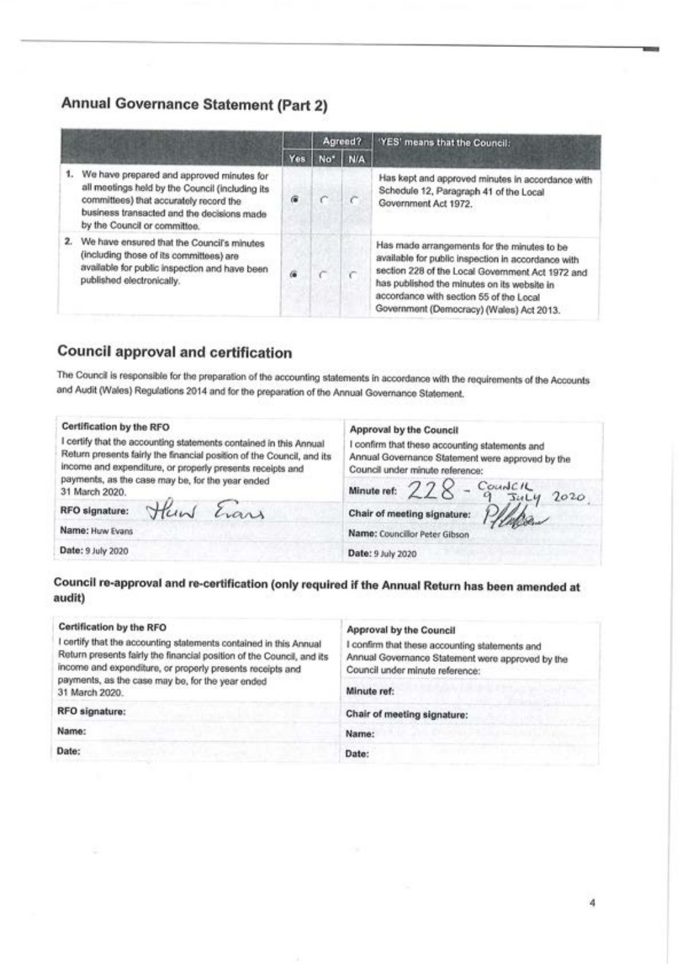### Annual Governance Statement (Part 2)

|                                                                                                                                                                                                                      |     | Agreed?   |     | 'YES' means that the Council:                                                                                                                                                                                                                                                               |  |
|----------------------------------------------------------------------------------------------------------------------------------------------------------------------------------------------------------------------|-----|-----------|-----|---------------------------------------------------------------------------------------------------------------------------------------------------------------------------------------------------------------------------------------------------------------------------------------------|--|
|                                                                                                                                                                                                                      | Yes | <b>No</b> | N/A |                                                                                                                                                                                                                                                                                             |  |
| We have prepared and approved minutes for<br>all meetings held by the Council (including its<br>committees) that accurately record the<br>business transacted and the decisions made<br>by the Council or committee. | 偏   |           |     | Has kept and approved minutes in accordance with<br>Schedule 12, Paragraph 41 of the Local<br>Government Act 1972.                                                                                                                                                                          |  |
| We have ensured that the Council's minutes<br>(including those of its committees) are<br>available for public inspection and have been<br>published electronically.                                                  | ä   |           |     | Has made arrangements for the minutes to be<br>available for public inspection in accordance with<br>section 228 of the Local Government Act 1972 and<br>has published the minutes on its website in<br>accordance with section 55 of the Local<br>Government (Democracy) (Wales) Act 2013. |  |

### **Council approval and certification**

The Council is responsible for the preparation of the accounting statements in accordance with the requirements of the Accounts and Audit (Wales) Regulations 2014 and for the preparation of the Annual Governance Statement.

#### Certification by the RFO

I certify that the accounting statements contained in this Annual Return presents fairly the financial position of the Council, and its income and expenditure, or properly presents receipts and payments, as the case may be, for the year ended 31 March 2020.

Huw Evans

RFO signature:

Name: Huw Evans

Date: 9 July 2020

### Approval by the Council

I confirm that these accounting statements and Annual Governance Statement were approved by the Council under minute reference:

Countell

 $T141$ 

 $2020$ 

Chair of meeting signature:

228

Name: Councillor Peter Gibson

Date: 9 July 2020

Minute ref:

### Council re-approval and re-certification (only required if the Annual Return has been amended at audit)

| Certification by the RFO<br>certify that the accounting statements contained in this Annual<br>Return presents fairly the financial position of the Council, and its<br>income and expenditure, or properly presents receipts and<br>payments, as the case may be, for the year ended | Approval by the Council<br>confirm that these accounting statements and<br>Annual Governance Statement were approved by the<br>Council under minute reference: |  |  |  |
|---------------------------------------------------------------------------------------------------------------------------------------------------------------------------------------------------------------------------------------------------------------------------------------|----------------------------------------------------------------------------------------------------------------------------------------------------------------|--|--|--|
| 31 March 2020.                                                                                                                                                                                                                                                                        | Minute ref:                                                                                                                                                    |  |  |  |
| RFO signature:                                                                                                                                                                                                                                                                        | Chair of meeting signature:                                                                                                                                    |  |  |  |
| Name:                                                                                                                                                                                                                                                                                 | Name:                                                                                                                                                          |  |  |  |
| Date:                                                                                                                                                                                                                                                                                 | Date:                                                                                                                                                          |  |  |  |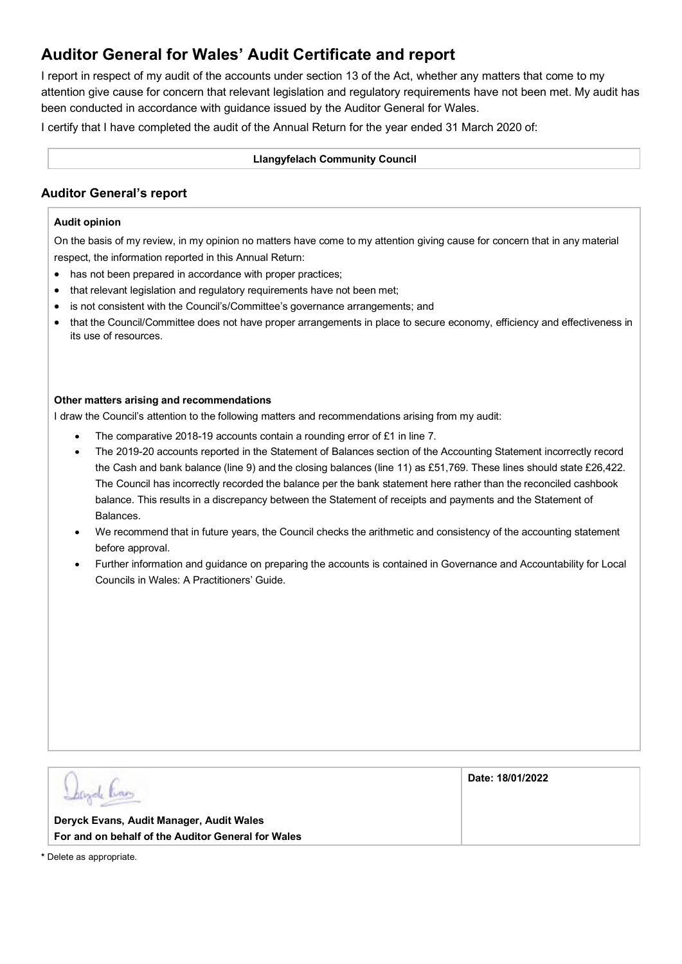## **Auditor General for Wales' Audit Certificate and report**

I report in respect of my audit of the accounts under section 13 of the Act, whether any matters that come to my attention give cause for concern that relevant legislation and regulatory requirements have not been met. My audit has been conducted in accordance with guidance issued by the Auditor General for Wales.

I certify that I have completed the audit of the Annual Return for the year ended 31 March 2020 of:

#### **Llangyfelach Community Council**

### **Auditor General's report**

### **Audit opinion**

On the basis of my review, in my opinion no matters have come to my attention giving cause for concern that in any material respect, the information reported in this Annual Return:

- has not been prepared in accordance with proper practices;
- that relevant legislation and regulatory requirements have not been met;
- is not consistent with the Council's/Committee's governance arrangements; and
- that the Council/Committee does not have proper arrangements in place to secure economy, efficiency and effectiveness in its use of resources.

#### **Other matters arising and recommendations**

I draw the Council's attention to the following matters and recommendations arising from my audit:

- The comparative 2018-19 accounts contain a rounding error of £1 in line 7.
- The 2019-20 accounts reported in the Statement of Balances section of the Accounting Statement incorrectly record the Cash and bank balance (line 9) and the closing balances (line 11) as £51,769. These lines should state £26,422. The Council has incorrectly recorded the balance per the bank statement here rather than the reconciled cashbook balance. This results in a discrepancy between the Statement of receipts and payments and the Statement of **Balances**
- We recommend that in future years, the Council checks the arithmetic and consistency of the accounting statement before approval.
- Further information and guidance on preparing the accounts is contained in Governance and Accountability for Local Councils in Wales: A Practitioners' Guide.

|                                                                                                | Date: 18/01/2022 |
|------------------------------------------------------------------------------------------------|------------------|
| Deryck Evans, Audit Manager, Audit Wales<br>For and on behalf of the Auditor General for Wales |                  |
|                                                                                                |                  |

**\*** Delete as appropriate.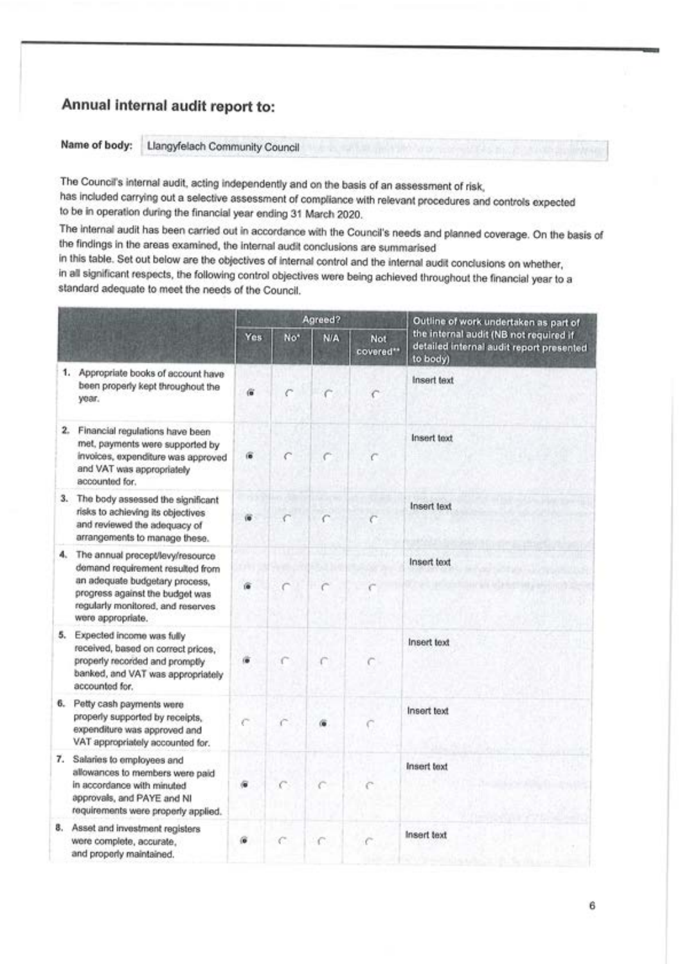## Annual internal audit report to:

Name of body: Llangyfelach Community Council

The Council's internal audit, acting independently and on the basis of an assessment of risk, has included carrying out a selective assessment of compliance with relevant procedures and controls expected to be in operation during the financial year ending 31 March 2020.

The internal audit has been carried out in accordance with the Council's needs and planned coverage. On the basis of the findings in the areas examined, the internal audit conclusions are summarised

in this table. Set out below are the objectives of internal control and the internal audit conclusions on whether, in all significant respects, the following control objectives were being achieved throughout the financial year to a standard adequate to meet the needs of the Council.

|    |                                                                                                                                                                                                     |            |                 | Agreed?    |                   | Outline of work undertaken as part of                                                          |
|----|-----------------------------------------------------------------------------------------------------------------------------------------------------------------------------------------------------|------------|-----------------|------------|-------------------|------------------------------------------------------------------------------------------------|
|    |                                                                                                                                                                                                     | <b>Yes</b> | No <sup>*</sup> | <b>N/A</b> | Not.<br>covered** | the internal audit (NB not required if<br>detailed internal audit report presented<br>to body) |
|    | 1. Appropriate books of account have<br>been properly kept throughout the<br>year.                                                                                                                  | 宿          |                 |            | €                 | Insert text                                                                                    |
|    | 2. Financial regulations have been<br>met, payments were supported by<br>invoices, expenditure was approved<br>and VAT was appropriately<br>accounted for.                                          | 僮          |                 |            | c                 | Insert toxt                                                                                    |
|    | 3. The body assessed the significant<br>risks to achieving its objectives<br>and reviewed the adequacy of<br>arrangements to manage these.                                                          | GG         |                 |            |                   | <b>Insert text</b>                                                                             |
| 4. | The annual precept/levy/resource<br>demand requirement resulted from<br>an adequate budgetary process,<br>progress against the budget was<br>regularly monitored, and reserves<br>were appropriate. |            |                 |            |                   | Insert text                                                                                    |
| 5. | Expected income was fully<br>received, based on correct prices,<br>properly recorded and promptly<br>banked, and VAT was appropriately<br>accounted for.                                            |            |                 |            |                   | <b>Insert text</b>                                                                             |
| 6. | Petty cash payments were<br>properly supported by receipts,<br>expenditure was approved and<br>VAT appropriately accounted for.                                                                     |            |                 | 庙          |                   | Insert text                                                                                    |
| 7. | Salaries to employees and<br>allowances to members were paid<br>in accordance with minuted<br>approvals, and PAYE and NI<br>requirements were properly applied.                                     |            |                 |            |                   | <b>Insert text</b>                                                                             |
| 8. | Asset and investment registers<br>were complete, accurate,<br>and properly maintained.                                                                                                              |            |                 | c          |                   | <b>Insert text</b>                                                                             |